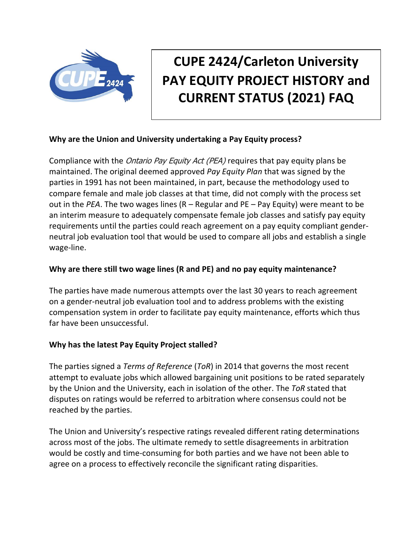

# **CUPE 2424/Carleton University PAY EQUITY PROJECT HISTORY and CURRENT STATUS (2021) FAQ**

### **Why are the Union and University undertaking a Pay Equity process?**

Compliance with the *Ontario Pay Equity Act (PEA)* requires that pay equity plans be maintained. The original deemed approved *Pay Equity Plan* that was signed by the parties in 1991 has not been maintained, in part, because the methodology used to compare female and male job classes at that time, did not comply with the process set out in the *PEA*. The two wages lines (R – Regular and PE – Pay Equity) were meant to be an interim measure to adequately compensate female job classes and satisfy pay equity requirements until the parties could reach agreement on a pay equity compliant genderneutral job evaluation tool that would be used to compare all jobs and establish a single wage-line.

#### **Why are there still two wage lines (R and PE) and no pay equity maintenance?**

The parties have made numerous attempts over the last 30 years to reach agreement on a gender-neutral job evaluation tool and to address problems with the existing compensation system in order to facilitate pay equity maintenance, efforts which thus far have been unsuccessful.

### **Why has the latest Pay Equity Project stalled?**

The parties signed a *Terms of Reference* (*ToR*) in 2014 that governs the most recent attempt to evaluate jobs which allowed bargaining unit positions to be rated separately by the Union and the University, each in isolation of the other. The *ToR* stated that disputes on ratings would be referred to arbitration where consensus could not be reached by the parties.

The Union and University's respective ratings revealed different rating determinations across most of the jobs. The ultimate remedy to settle disagreements in arbitration would be costly and time-consuming for both parties and we have not been able to agree on a process to effectively reconcile the significant rating disparities.